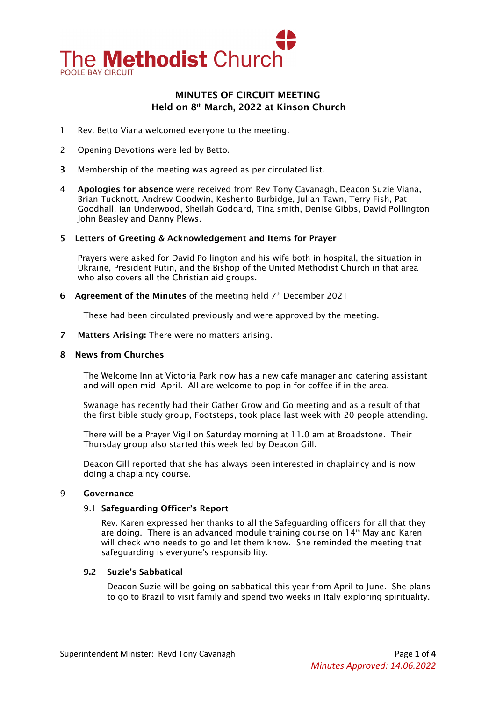

# MINUTES OF CIRCUIT MEETING Held on 8th March, 2022 at Kinson Church

- 1 Rev. Betto Viana welcomed everyone to the meeting.
- 2 Opening Devotions were led by Betto.
- 3 Membership of the meeting was agreed as per circulated list.
- 4 Apologies for absence were received from Rev Tony Cavanagh, Deacon Suzie Viana, Brian Tucknott, Andrew Goodwin, Keshento Burbidge, Julian Tawn, Terry Fish, Pat Goodhall, Ian Underwood, Sheilah Goddard, Tina smith, Denise Gibbs, David Pollington John Beasley and Danny Plews.

#### 5 Letters of Greeting & Acknowledgement and Items for Prayer

Prayers were asked for David Pollington and his wife both in hospital, the situation in Ukraine, President Putin, and the Bishop of the United Methodist Church in that area who also covers all the Christian aid groups.

6 Agreement of the Minutes of the meeting held  $7<sup>th</sup>$  December 2021

These had been circulated previously and were approved by the meeting.

7 Matters Arising: There were no matters arising.

#### 8 News from Churches

The Welcome Inn at Victoria Park now has a new cafe manager and catering assistant and will open mid- April. All are welcome to pop in for coffee if in the area.

Swanage has recently had their Gather Grow and Go meeting and as a result of that the first bible study group, Footsteps, took place last week with 20 people attending.

There will be a Prayer Vigil on Saturday morning at 11.0 am at Broadstone. Their Thursday group also started this week led by Deacon Gill.

Deacon Gill reported that she has always been interested in chaplaincy and is now doing a chaplaincy course.

#### 9 Governance

#### 9.1 Safeguarding Officer's Report

Rev. Karen expressed her thanks to all the Safeguarding officers for all that they are doing. There is an advanced module training course on 14<sup>th</sup> May and Karen will check who needs to go and let them know. She reminded the meeting that safeguarding is everyone's responsibility.

# 9.2 Suzie's Sabbatical

Deacon Suzie will be going on sabbatical this year from April to June. She plans to go to Brazil to visit family and spend two weeks in Italy exploring spirituality.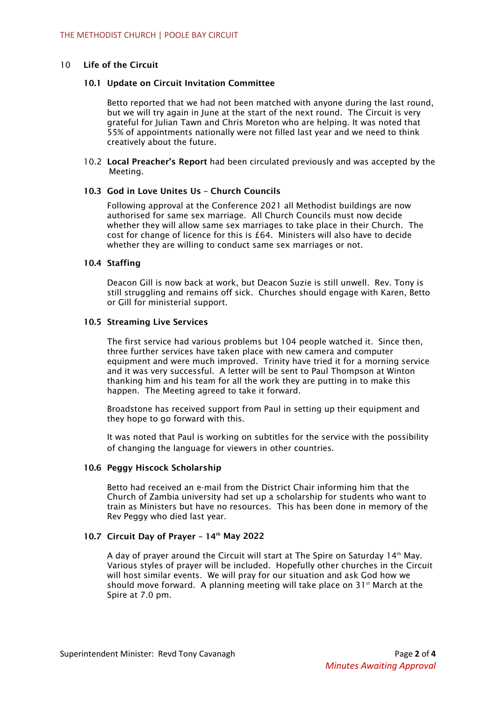# 10 Life of the Circuit

# 10.1 Update on Circuit Invitation Committee

Betto reported that we had not been matched with anyone during the last round, but we will try again in June at the start of the next round. The Circuit is very grateful for Julian Tawn and Chris Moreton who are helping. It was noted that 55% of appointments nationally were not filled last year and we need to think creatively about the future.

10.2 Local Preacher's Report had been circulated previously and was accepted by the Meeting.

# 10.3 God in Love Unites Us – Church Councils

Following approval at the Conference 2021 all Methodist buildings are now authorised for same sex marriage. All Church Councils must now decide whether they will allow same sex marriages to take place in their Church. The cost for change of licence for this is £64. Ministers will also have to decide whether they are willing to conduct same sex marriages or not.

# 10.4 Staffing

Deacon Gill is now back at work, but Deacon Suzie is still unwell. Rev. Tony is still struggling and remains off sick. Churches should engage with Karen, Betto or Gill for ministerial support.

#### 10.5 Streaming Live Services

The first service had various problems but 104 people watched it. Since then, three further services have taken place with new camera and computer equipment and were much improved. Trinity have tried it for a morning service and it was very successful. A letter will be sent to Paul Thompson at Winton thanking him and his team for all the work they are putting in to make this happen. The Meeting agreed to take it forward.

Broadstone has received support from Paul in setting up their equipment and they hope to go forward with this.

It was noted that Paul is working on subtitles for the service with the possibility of changing the language for viewers in other countries.

# 10.6 Peggy Hiscock Scholarship

Betto had received an e-mail from the District Chair informing him that the Church of Zambia university had set up a scholarship for students who want to train as Ministers but have no resources. This has been done in memory of the Rev Peggy who died last year.

# 10.7 Circuit Day of Prayer -  $14<sup>th</sup>$  May 2022

A day of prayer around the Circuit will start at The Spire on Saturday  $14<sup>th</sup>$  May. Various styles of prayer will be included. Hopefully other churches in the Circuit will host similar events. We will pray for our situation and ask God how we should move forward. A planning meeting will take place on  $31<sup>st</sup>$  March at the Spire at 7.0 pm.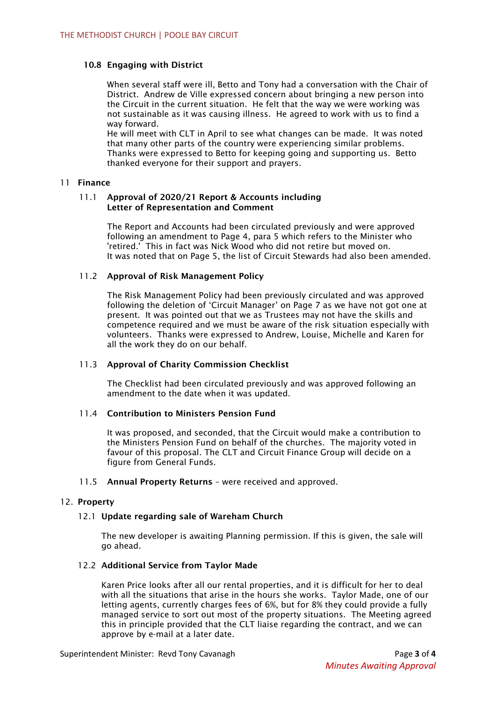# 10.8 Engaging with District

When several staff were ill, Betto and Tony had a conversation with the Chair of District. Andrew de Ville expressed concern about bringing a new person into the Circuit in the current situation. He felt that the way we were working was not sustainable as it was causing illness. He agreed to work with us to find a way forward.

He will meet with CLT in April to see what changes can be made. It was noted that many other parts of the country were experiencing similar problems. Thanks were expressed to Betto for keeping going and supporting us. Betto thanked everyone for their support and prayers.

# 11 Finance

# 11.1 Approval of 2020/21 Report & Accounts including Letter of Representation and Comment

The Report and Accounts had been circulated previously and were approved following an amendment to Page 4, para 5 which refers to the Minister who 'retired.' This in fact was Nick Wood who did not retire but moved on. It was noted that on Page 5, the list of Circuit Stewards had also been amended.

# 11.2 Approval of Risk Management Policy

The Risk Management Policy had been previously circulated and was approved following the deletion of 'Circuit Manager' on Page 7 as we have not got one at present. It was pointed out that we as Trustees may not have the skills and competence required and we must be aware of the risk situation especially with volunteers. Thanks were expressed to Andrew, Louise, Michelle and Karen for all the work they do on our behalf.

# 11.3 Approval of Charity Commission Checklist

The Checklist had been circulated previously and was approved following an amendment to the date when it was updated.

# 11.4 Contribution to Ministers Pension Fund

It was proposed, and seconded, that the Circuit would make a contribution to the Ministers Pension Fund on behalf of the churches. The majority voted in favour of this proposal. The CLT and Circuit Finance Group will decide on a figure from General Funds.

#### 11.5 Annual Property Returns – were received and approved.

# 12. Property

# 12.1 Update regarding sale of Wareham Church

The new developer is awaiting Planning permission. If this is given, the sale will go ahead.

#### 12.2 Additional Service from Taylor Made

Karen Price looks after all our rental properties, and it is difficult for her to deal with all the situations that arise in the hours she works. Taylor Made, one of our letting agents, currently charges fees of 6%, but for 8% they could provide a fully managed service to sort out most of the property situations. The Meeting agreed this in principle provided that the CLT liaise regarding the contract, and we can approve by e-mail at a later date.